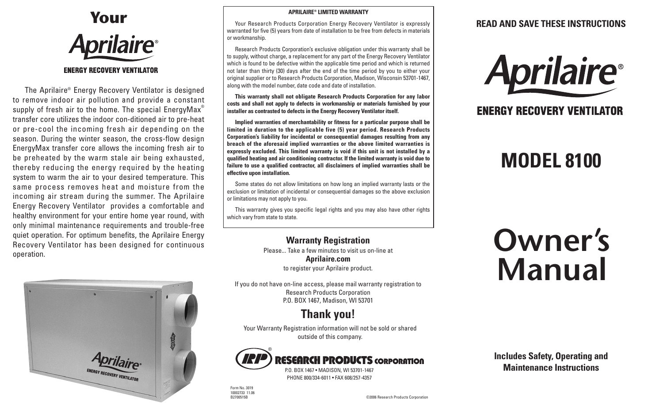

The Aprilaire® Energy Recovery Ventilator is designed to remove indoor air pollution and provide a constant supply of fresh air to the home. The special EnergyMax<sup>®</sup> transfer core utilizes the indoor con-ditioned air to pre-heat or pre-cool the incoming fresh air depending on the season. During the winter season, the cross-flow design EnergyMax transfer core allows the incoming fresh air to be preheated by the warm stale air being exhausted, thereby reducing the energy required by the heating system to warm the air to your desired temperature. This same process removes heat and moisture from the incoming air stream during the summer. The Aprilaire Energy Recovery Ventilator provides a comfortable and healthy environment for your entire home year round, with only minimal maintenance requirements and trouble-free quiet operation. For optimum benefits, the Aprilaire Energy Recovery Ventilator has been designed for continuous operation.



#### **APRILAIRE® LIMITED WARRANTY**

Your Research Products Corporation Energy Recovery Ventilator is expressly warranted for five (5) years from date of installation to be free from defects in materials or workmanship.

Research Products Corporation's exclusive obligation under this warranty shall be to supply, without charge, a replacement for any part of the Energy Recovery Ventilator which is found to be defective within the applicable time period and which is returned not later than thirty (30) days after the end of the time period by you to either your original supplier or to Research Products Corporation, Madison, Wisconsin 53701-1467, along with the model number, date code and date of installation.

**This warranty shall not obligate Research Products Corporation for any labor costs and shall not apply to defects in workmanship or materials furnished by your installer as contrasted to defects in the Energy Recovery Ventilator itself.**

**Implied warranties of merchantability or fitness for a particular purpose shall be limited in duration to the applicable five (5) year period. Research Products Corporation's liability for incidental or consequential damages resulting from any breach of the aforesaid implied warranties or the above limited warranties is expressly excluded. This limited warranty is void if this unit is not installed by a qualified heating and air conditioning contractor. If the limited warranty is void due to failure to use a qualified contractor, all disclaimers of implied warranties shall be effective upon installation.**

Some states do not allow limitations on how long an implied warranty lasts or the exclusion or limitation of incidental or consequential damages so the above exclusion or limitations may not apply to you.

This warranty gives you specific legal rights and you may also have other rights which vary from state to state.

> **Warranty Registration** Please... Take a few minutes to visit us on-line at **Aprilaire.com** to register your Aprilaire product.

If you do not have on-line access, please mail warranty registration to Research Products Corporation P.O. BOX 1467, Madison, WI 53701

### **Thank you!**

Your Warranty Registration information will not be sold or shared outside of this company.



### **ESEARCH PRODUCTS CORPORATION**

P.O. BOX 1467 • MADISON, WI 53701-1467 PHONE 800/334-6011 • FAX 608/257-4357

**READ AND SAVE THESE INSTRUCTIONS**



### **ENERGY RECOVERY VENTILATOR**

## **MODEL 8100**

# **Owner's Manual**



Form No. 3019 10002733 11.06